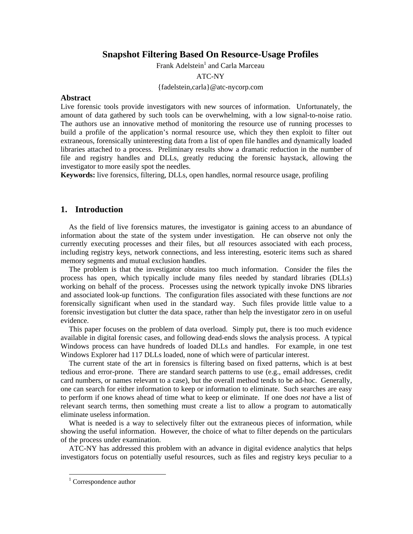# **Snapshot Filtering Based On Resource-Usage Profiles**

Frank Adelstein<sup>1</sup> and Carla Marceau

ATC-NY

{fadelstein,carla}@atc-nycorp.com

#### **Abstract**

Live forensic tools provide investigators with new sources of information. Unfortunately, the amount of data gathered by such tools can be overwhelming, with a low signal-to-noise ratio. The authors use an innovative method of monitoring the resource use of running processes to build a profile of the application's normal resource use, which they then exploit to filter out extraneous, forensically uninteresting data from a list of open file handles and dynamically loaded libraries attached to a process. Preliminary results show a dramatic reduction in the number of file and registry handles and DLLs, greatly reducing the forensic haystack, allowing the investigator to more easily spot the needles.

**Keywords:** live forensics, filtering, DLLs, open handles, normal resource usage, profiling

### **1. Introduction**

As the field of live forensics matures, the investigator is gaining access to an abundance of information about the state of the system under investigation. He can observe not only the currently executing processes and their files, but *all* resources associated with each process, including registry keys, network connections, and less interesting, esoteric items such as shared memory segments and mutual exclusion handles.

The problem is that the investigator obtains too much information. Consider the files the process has open, which typically include many files needed by standard libraries (DLLs) working on behalf of the process. Processes using the network typically invoke DNS libraries and associated look-up functions. The configuration files associated with these functions are *not* forensically significant when used in the standard way. Such files provide little value to a forensic investigation but clutter the data space, rather than help the investigator zero in on useful evidence.

This paper focuses on the problem of data overload. Simply put, there is too much evidence available in digital forensic cases, and following dead-ends slows the analysis process. A typical Windows process can have hundreds of loaded DLLs and handles. For example, in one test Windows Explorer had 117 DLLs loaded, none of which were of particular interest.

The current state of the art in forensics is filtering based on fixed patterns, which is at best tedious and error-prone. There are standard search patterns to use (e.g., email addresses, credit card numbers, or names relevant to a case), but the overall method tends to be ad-hoc. Generally, one can search for either information to keep or information to eliminate. Such searches are easy to perform if one knows ahead of time what to keep or eliminate. If one does *not* have a list of relevant search terms, then something must create a list to allow a program to automatically eliminate useless information.

What is needed is a way to selectively filter out the extraneous pieces of information, while showing the useful information. However, the choice of what to filter depends on the particulars of the process under examination.

ATC-NY has addressed this problem with an advance in digital evidence analytics that helps investigators focus on potentially useful resources, such as files and registry keys peculiar to a

<u>.</u>

<sup>&</sup>lt;sup>1</sup> Correspondence author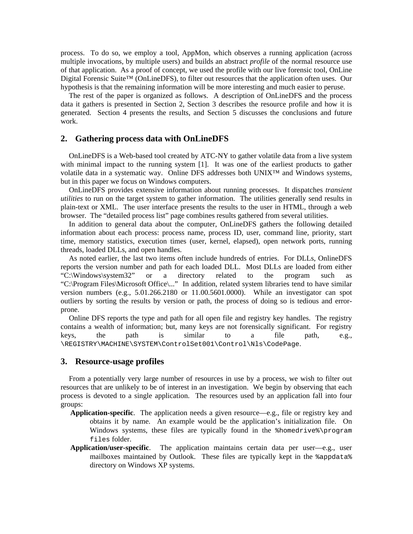process. To do so, we employ a tool, AppMon, which observes a running application (across multiple invocations, by multiple users) and builds an abstract *profile* of the normal resource use of that application. As a proof of concept, we used the profile with our live forensic tool, OnLine Digital Forensic Suite™ (OnLineDFS), to filter out resources that the application often uses. Our hypothesis is that the remaining information will be more interesting and much easier to peruse.

The rest of the paper is organized as follows. A description of OnLineDFS and the process data it gathers is presented in Section 2, Section 3 describes the resource profile and how it is generated. Section 4 presents the results, and Section 5 discusses the conclusions and future work.

### **2. Gathering process data with OnLineDFS**

OnLineDFS is a Web-based tool created by ATC-NY to gather volatile data from a live system with minimal impact to the running system [1]. It was one of the earliest products to gather volatile data in a systematic way. Online DFS addresses both UNIX™ and Windows systems, but in this paper we focus on Windows computers.

OnLineDFS provides extensive information about running processes. It dispatches *transient utilities* to run on the target system to gather information. The utilities generally send results in plain-text or XML. The user interface presents the results to the user in HTML, through a web browser. The "detailed process list" page combines results gathered from several utilities.

In addition to general data about the computer, OnLineDFS gathers the following detailed information about each process: process name, process ID, user, command line, priority, start time, memory statistics, execution times (user, kernel, elapsed), open network ports, running threads, loaded DLLs, and open handles.

As noted earlier, the last two items often include hundreds of entries. For DLLs, OnlineDFS reports the version number and path for each loaded DLL. Most DLLs are loaded from either "C:\Windows\system32" or a directory related to the program such as "C:\Program Files\Microsoft Office\..." In addition, related system libraries tend to have similar version numbers (e.g., 5.01.266.2180 or 11.00.5601.0000). While an investigator can spot outliers by sorting the results by version or path, the process of doing so is tedious and errorprone.

Online DFS reports the type and path for all open file and registry key handles. The registry contains a wealth of information; but, many keys are not forensically significant. For registry keys, the path is similar to a file path, e.g., \REGISTRY\MACHINE\SYSTEM\ControlSet001\Control\Nls\CodePage.

#### **3. Resource-usage profiles**

From a potentially very large number of resources in use by a process, we wish to filter out resources that are unlikely to be of interest in an investigation. We begin by observing that each process is devoted to a single application. The resources used by an application fall into four groups:

- **Application-specific**. The application needs a given resource—e.g., file or registry key and obtains it by name. An example would be the application's initialization file. On Windows systems, these files are typically found in the %homedrive%\program files folder.
- **Application/user-specific**. The application maintains certain data per user—e.g., user mailboxes maintained by Outlook. These files are typically kept in the %appdata% directory on Windows XP systems.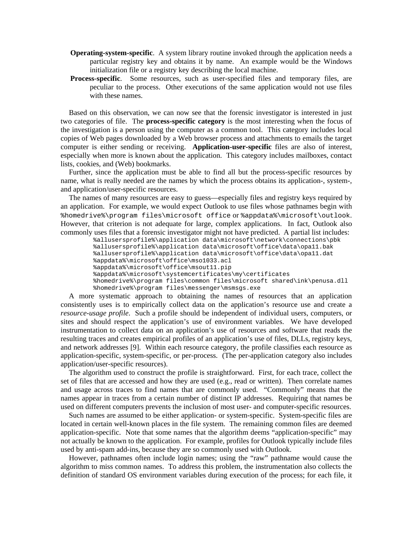- **Operating-system-specific.** A system library routine invoked through the application needs a particular registry key and obtains it by name. An example would be the Windows initialization file or a registry key describing the local machine.
- **Process**-**specific**. Some resources, such as user-specified files and temporary files, are peculiar to the process. Other executions of the same application would not use files with these names.

Based on this observation, we can now see that the forensic investigator is interested in just two categories of file. The **process-specific category** is the most interesting when the focus of the investigation is a person using the computer as a common tool. This category includes local copies of Web pages downloaded by a Web browser process and attachments to emails the target computer is either sending or receiving. **Application-user-specific** files are also of interest, especially when more is known about the application. This category includes mailboxes, contact lists, cookies, and (Web) bookmarks.

Further, since the application must be able to find all but the process-specific resources by name, what is really needed are the names by which the process obtains its application-, system-, and application/user-specific resources.

The names of many resources are easy to guess—especially files and registry keys required by an application. For example, we would expect Outlook to use files whose pathnames begin with %homedrive%\program files\microsoft office or %appdata%\microsoft\outlook. However, that criterion is not adequate for large, complex applications. In fact, Outlook also commonly uses files that a forensic investigator might not have predicted. A partial list includes:

```
%allusersprofile%\application data\microsoft\network\connections\pbk 
%allusersprofile%\application data\microsoft\office\data\opa11.bak 
%allusersprofile%\application data\microsoft\office\data\opa11.dat 
%appdata%\microsoft\office\mso1033.acl 
%appdata%\microsoft\office\msout11.pip 
%appdata%\microsoft\systemcertificates\my\certificates 
%homedrive%\program files\common files\microsoft shared\ink\penusa.dll 
%homedrive%\program files\messenger\msmsgs.exe
```
A more systematic approach to obtaining the names of resources that an application consistently uses is to empirically collect data on the application's resource use and create a *resource-usage profile*. Such a profile should be independent of individual users, computers, or sites and should respect the application's use of environment variables. We have developed instrumentation to collect data on an application's use of resources and software that reads the resulting traces and creates empirical profiles of an application's use of files, DLLs, registry keys, and network addresses [9]. Within each resource category, the profile classifies each resource as application-specific, system-specific, or per-process. (The per-application category also includes application/user-specific resources).

The algorithm used to construct the profile is straightforward. First, for each trace, collect the set of files that are accessed and how they are used (e.g., read or written). Then correlate names and usage across traces to find names that are commonly used. "Commonly" means that the names appear in traces from a certain number of distinct IP addresses. Requiring that names be used on different computers prevents the inclusion of most user- and computer-specific resources.

Such names are assumed to be either application- or system-specific. System-specific files are located in certain well-known places in the file system. The remaining common files are deemed application-specific. Note that some names that the algorithm deems "application-specific" may not actually be known to the application. For example, profiles for Outlook typically include files used by anti-spam add-ins, because they are so commonly used with Outlook.

However, pathnames often include login names; using the "raw" pathname would cause the algorithm to miss common names. To address this problem, the instrumentation also collects the definition of standard OS environment variables during execution of the process; for each file, it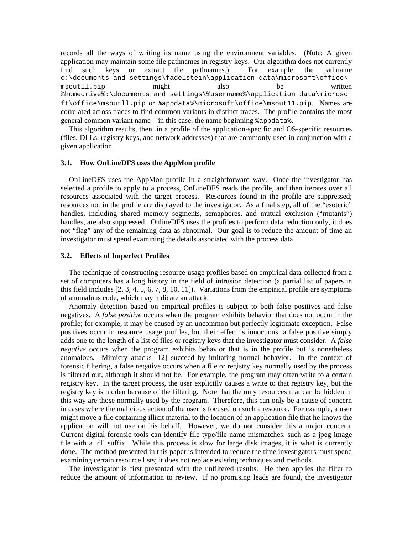records all the ways of writing its name using the environment variables. (Note: A given application may maintain some file pathnames in registry keys. Our algorithm does not currently find such keys or extract the pathnames.) For example, the pathname c:\documents and settings\fadelstein\application data\microsoft\office\ msoutll.pip might also be written %homedrive%:\documents and settings\%username%\application data\microso ft\office\msoutll.pip or %appdata%\microsoft\office\msout11.pip. Names are correlated across traces to find common variants in distinct traces. The profile contains the most general common variant name—in this case, the name beginning %appdata%.

This algorithm results, then, in a profile of the application-specific and OS-specific resources (files, DLLs, registry keys, and network addresses) that are commonly used in conjunction with a given application.

#### **3.1. How OnLineDFS uses the AppMon profile**

OnLineDFS uses the AppMon profile in a straightforward way. Once the investigator has selected a profile to apply to a process, OnLineDFS reads the profile, and then iterates over all resources associated with the target process. Resources found in the profile are suppressed; resources not in the profile are displayed to the investigator. As a final step, all of the "esoteric" handles, including shared memory segments, semaphores, and mutual exclusion ("mutants") handles, are also suppressed. OnlineDFS uses the profiles to perform data reduction only, it does not "flag" any of the remaining data as abnormal. Our goal is to reduce the amount of time an investigator must spend examining the details associated with the process data.

#### **3.2. Effects of Imperfect Profiles**

The technique of constructing resource-usage profiles based on empirical data collected from a set of computers has a long history in the field of intrusion detection (a partial list of papers in this field includes [2, 3, 4, 5, 6, 7, 8, 10, 11]). Variations from the empirical profile are symptoms of anomalous code, which may indicate an attack.

Anomaly detection based on empirical profiles is subject to both false positives and false negatives. A *false positive* occurs when the program exhibits behavior that does not occur in the profile; for example, it may be caused by an uncommon but perfectly legitimate exception. False positives occur in resource usage profiles, but their effect is innocuous: a false positive simply adds one to the length of a list of files or registry keys that the investigator must consider. A *false negative* occurs when the program exhibits behavior that is in the profile but is nonetheless anomalous. Mimicry attacks [12] succeed by imitating normal behavior. In the context of forensic filtering, a false negative occurs when a file or registry key normally used by the process is filtered out, although it should not be. For example, the program may often write to a certain registry key. In the target process, the user explicitly causes a write to that registry key, but the registry key is hidden because of the filtering. Note that the only resources that can be hidden in this way are those normally used by the program. Therefore, this can only be a cause of concern in cases where the malicious action of the user is focused on such a resource. For example, a user might move a file containing illicit material to the location of an application file that he knows the application will not use on his behalf. However, we do not consider this a major concern. Current digital forensic tools can identify file type/file name mismatches, such as a jpeg image file with a .dll suffix. While this process is slow for large disk images, it is what is currently done. The method presented in this paper is intended to reduce the time investigators must spend examining certain resource lists; it does not replace existing techniques and methods.

The investigator is first presented with the unfiltered results. He then applies the filter to reduce the amount of information to review. If no promising leads are found, the investigator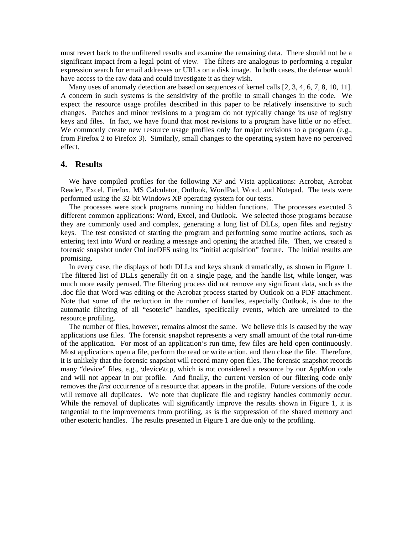must revert back to the unfiltered results and examine the remaining data. There should not be a significant impact from a legal point of view. The filters are analogous to performing a regular expression search for email addresses or URLs on a disk image. In both cases, the defense would have access to the raw data and could investigate it as they wish.

Many uses of anomaly detection are based on sequences of kernel calls [2, 3, 4, 6, 7, 8, 10, 11]. A concern in such systems is the sensitivity of the profile to small changes in the code. We expect the resource usage profiles described in this paper to be relatively insensitive to such changes. Patches and minor revisions to a program do not typically change its use of registry keys and files. In fact, we have found that most revisions to a program have little or no effect. We commonly create new resource usage profiles only for major revisions to a program (e.g., from Firefox 2 to Firefox 3). Similarly, small changes to the operating system have no perceived effect.

## **4. Results**

We have compiled profiles for the following XP and Vista applications: Acrobat, Acrobat Reader, Excel, Firefox, MS Calculator, Outlook, WordPad, Word, and Notepad. The tests were performed using the 32-bit Windows XP operating system for our tests.

The processes were stock programs running no hidden functions. The processes executed 3 different common applications: Word, Excel, and Outlook. We selected those programs because they are commonly used and complex, generating a long list of DLLs, open files and registry keys. The test consisted of starting the program and performing some routine actions, such as entering text into Word or reading a message and opening the attached file. Then, we created a forensic snapshot under OnLineDFS using its "initial acquisition" feature. The initial results are promising.

In every case, the displays of both DLLs and keys shrank dramatically, as shown in Figure 1. The filtered list of DLLs generally fit on a single page, and the handle list, while longer, was much more easily perused. The filtering process did not remove any significant data, such as the .doc file that Word was editing or the Acrobat process started by Outlook on a PDF attachment. Note that some of the reduction in the number of handles, especially Outlook, is due to the automatic filtering of all "esoteric" handles, specifically events, which are unrelated to the resource profiling.

The number of files, however, remains almost the same. We believe this is caused by the way applications use files. The forensic snapshot represents a very small amount of the total run-time of the application. For most of an application's run time, few files are held open continuously. Most applications open a file, perform the read or write action, and then close the file. Therefore, it is unlikely that the forensic snapshot will record many open files. The forensic snapshot records many "device" files, e.g., \device\tcp, which is not considered a resource by our AppMon code and will not appear in our profile. And finally, the current version of our filtering code only removes the *first* occurrence of a resource that appears in the profile. Future versions of the code will remove all duplicates. We note that duplicate file and registry handles commonly occur. While the removal of duplicates will significantly improve the results shown in Figure 1, it is tangential to the improvements from profiling, as is the suppression of the shared memory and other esoteric handles. The results presented in Figure 1 are due only to the profiling.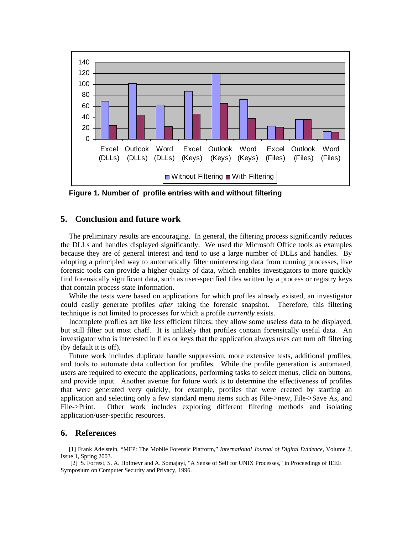

**Figure 1. Number of profile entries with and without filtering** 

# **5. Conclusion and future work**

The preliminary results are encouraging. In general, the filtering process significantly reduces the DLLs and handles displayed significantly. We used the Microsoft Office tools as examples because they are of general interest and tend to use a large number of DLLs and handles. By adopting a principled way to automatically filter uninteresting data from running processes, live forensic tools can provide a higher quality of data, which enables investigators to more quickly find forensically significant data, such as user-specified files written by a process or registry keys that contain process-state information.

While the tests were based on applications for which profiles already existed, an investigator could easily generate profiles *after* taking the forensic snapshot. Therefore, this filtering technique is not limited to processes for which a profile *currently* exists.

Incomplete profiles act like less efficient filters; they allow some useless data to be displayed, but still filter out most chaff. It is unlikely that profiles contain forensically useful data. An investigator who is interested in files or keys that the application always uses can turn off filtering (by default it is off).

Future work includes duplicate handle suppression, more extensive tests, additional profiles, and tools to automate data collection for profiles. While the profile generation is automated, users are required to execute the applications, performing tasks to select menus, click on buttons, and provide input. Another avenue for future work is to determine the effectiveness of profiles that were generated very quickly, for example, profiles that were created by starting an application and selecting only a few standard menu items such as File->new, File->Save As, and File->Print. Other work includes exploring different filtering methods and isolating application/user-specific resources.

## **6. References**

[1] Frank Adelstein, "MFP: The Mobile Forensic Platform," *International Journal of Digital Evidence*, Volume 2, Issue 1, Spring 2003.

 [2] S. Forrest, S. A. Hofmeyr and A. Somajayi, "A Sense of Self for UNIX Processes," in Proceedings of IEEE Symposium on Computer Security and Privacy, 1996.